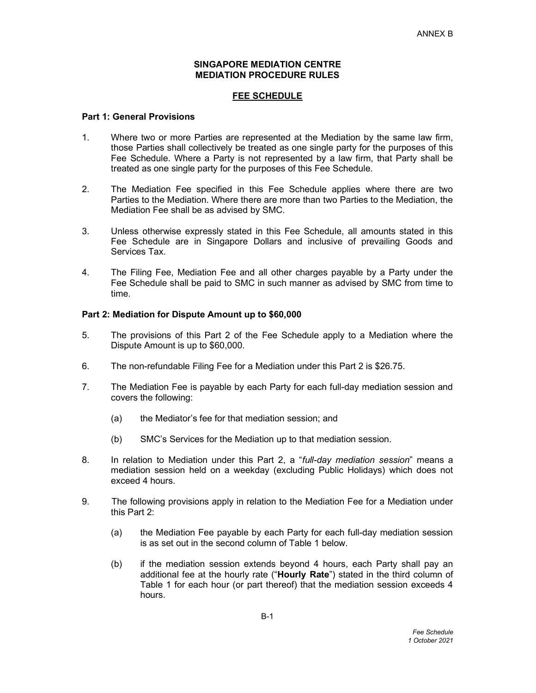### SINGAPORE MEDIATION CENTRE MEDIATION PROCEDURE RULES

# FEE SCHEDULE

## Part 1: General Provisions

- 1. Where two or more Parties are represented at the Mediation by the same law firm, those Parties shall collectively be treated as one single party for the purposes of this Fee Schedule. Where a Party is not represented by a law firm, that Party shall be treated as one single party for the purposes of this Fee Schedule.
- 2. The Mediation Fee specified in this Fee Schedule applies where there are two Parties to the Mediation. Where there are more than two Parties to the Mediation, the Mediation Fee shall be as advised by SMC.
- 3. Unless otherwise expressly stated in this Fee Schedule, all amounts stated in this Fee Schedule are in Singapore Dollars and inclusive of prevailing Goods and Services Tax.
- 4. The Filing Fee, Mediation Fee and all other charges payable by a Party under the Fee Schedule shall be paid to SMC in such manner as advised by SMC from time to time.

## Part 2: Mediation for Dispute Amount up to \$60,000

- 5. The provisions of this Part 2 of the Fee Schedule apply to a Mediation where the Dispute Amount is up to \$60,000.
- 6. The non-refundable Filing Fee for a Mediation under this Part 2 is \$26.75.
- 7. The Mediation Fee is payable by each Party for each full-day mediation session and covers the following:
	- (a) the Mediator's fee for that mediation session; and
	- (b) SMC's Services for the Mediation up to that mediation session.
- 8. In relation to Mediation under this Part 2, a "full-day mediation session" means a mediation session held on a weekday (excluding Public Holidays) which does not exceed 4 hours.
- 9. The following provisions apply in relation to the Mediation Fee for a Mediation under this Part 2:
	- (a) the Mediation Fee payable by each Party for each full-day mediation session is as set out in the second column of Table 1 below.
	- (b) if the mediation session extends beyond 4 hours, each Party shall pay an additional fee at the hourly rate ("Hourly Rate") stated in the third column of Table 1 for each hour (or part thereof) that the mediation session exceeds 4 hours.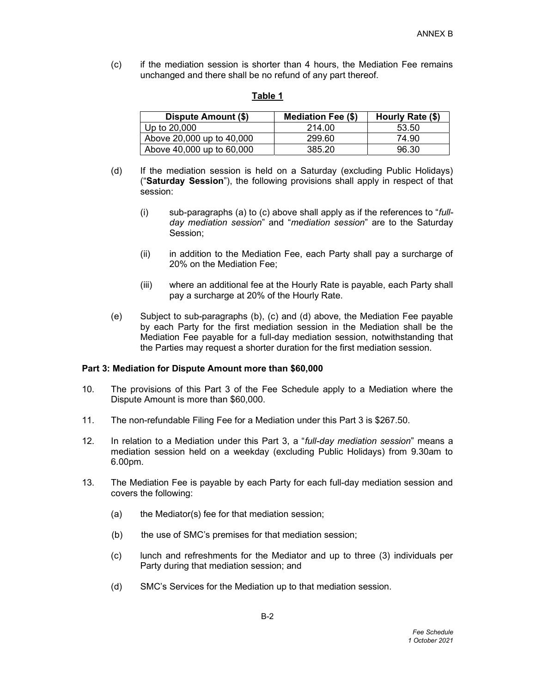(c) if the mediation session is shorter than 4 hours, the Mediation Fee remains unchanged and there shall be no refund of any part thereof.

#### Table 1

| Dispute Amount (\$)       | <b>Mediation Fee (\$)</b> | Hourly Rate (\$) |
|---------------------------|---------------------------|------------------|
| Up to 20,000              | 214.00                    | 53.50            |
| Above 20,000 up to 40,000 | 299.60                    | 74.90            |
| Above 40,000 up to 60,000 | 385.20                    | 96.30            |

- (d) If the mediation session is held on a Saturday (excluding Public Holidays) ("Saturday Session"), the following provisions shall apply in respect of that session:
	- (i) sub-paragraphs (a) to (c) above shall apply as if the references to "fullday mediation session" and "mediation session" are to the Saturday Session;
	- (ii) in addition to the Mediation Fee, each Party shall pay a surcharge of 20% on the Mediation Fee;
	- (iii) where an additional fee at the Hourly Rate is payable, each Party shall pay a surcharge at 20% of the Hourly Rate.
- (e) Subject to sub-paragraphs (b), (c) and (d) above, the Mediation Fee payable by each Party for the first mediation session in the Mediation shall be the Mediation Fee payable for a full-day mediation session, notwithstanding that the Parties may request a shorter duration for the first mediation session.

### Part 3: Mediation for Dispute Amount more than \$60,000

- 10. The provisions of this Part 3 of the Fee Schedule apply to a Mediation where the Dispute Amount is more than \$60,000.
- 11. The non-refundable Filing Fee for a Mediation under this Part 3 is \$267.50.
- 12. In relation to a Mediation under this Part 3, a "full-day mediation session" means a mediation session held on a weekday (excluding Public Holidays) from 9.30am to 6.00pm.
- 13. The Mediation Fee is payable by each Party for each full-day mediation session and covers the following:
	- (a) the Mediator(s) fee for that mediation session;
	- (b) the use of SMC's premises for that mediation session;
	- (c) lunch and refreshments for the Mediator and up to three (3) individuals per Party during that mediation session; and
	- (d) SMC's Services for the Mediation up to that mediation session.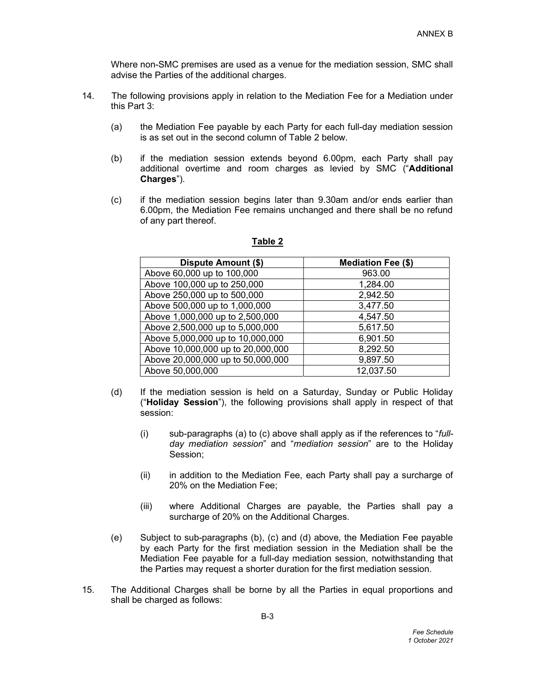Where non-SMC premises are used as a venue for the mediation session, SMC shall advise the Parties of the additional charges.

- 14. The following provisions apply in relation to the Mediation Fee for a Mediation under this Part 3:
	- (a) the Mediation Fee payable by each Party for each full-day mediation session is as set out in the second column of Table 2 below.
	- (b) if the mediation session extends beyond 6.00pm, each Party shall pay additional overtime and room charges as levied by SMC ("Additional Charges").
	- (c) if the mediation session begins later than 9.30am and/or ends earlier than 6.00pm, the Mediation Fee remains unchanged and there shall be no refund of any part thereof.

| Dispute Amount (\$)               | <b>Mediation Fee (\$)</b> |
|-----------------------------------|---------------------------|
| Above 60,000 up to 100,000        | 963.00                    |
| Above 100,000 up to 250,000       | 1,284.00                  |
| Above 250,000 up to 500,000       | 2,942.50                  |
| Above 500,000 up to 1,000,000     | 3,477.50                  |
| Above 1,000,000 up to 2,500,000   | 4,547.50                  |
| Above 2,500,000 up to 5,000,000   | 5,617.50                  |
| Above 5,000,000 up to 10,000,000  | 6,901.50                  |
| Above 10,000,000 up to 20,000,000 | 8,292.50                  |
| Above 20,000,000 up to 50,000,000 | 9,897.50                  |
| Above 50,000,000                  | 12,037.50                 |

# Table 2

- (d) If the mediation session is held on a Saturday, Sunday or Public Holiday ("Holiday Session"), the following provisions shall apply in respect of that session:
	- (i) sub-paragraphs (a) to (c) above shall apply as if the references to " $full$ day mediation session" and "mediation session" are to the Holiday Session;
	- (ii) in addition to the Mediation Fee, each Party shall pay a surcharge of 20% on the Mediation Fee;
	- (iii) where Additional Charges are payable, the Parties shall pay a surcharge of 20% on the Additional Charges.
- (e) Subject to sub-paragraphs (b), (c) and (d) above, the Mediation Fee payable by each Party for the first mediation session in the Mediation shall be the Mediation Fee payable for a full-day mediation session, notwithstanding that the Parties may request a shorter duration for the first mediation session.
- 15. The Additional Charges shall be borne by all the Parties in equal proportions and shall be charged as follows: